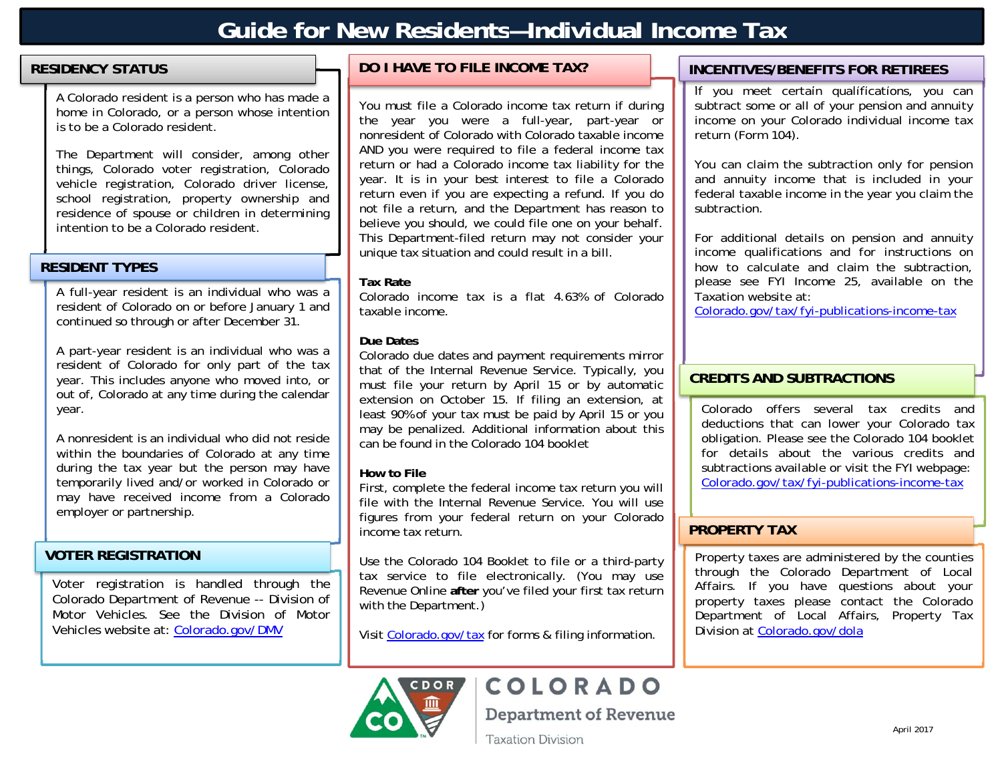## **Guide for New Residents—Individual Income Tax**

### **RESIDENCY STATUS**

A Colorado resident is a person who has made a home in Colorado, or a person whose intention is to be a Colorado resident.

The Department will consider, among other things, Colorado voter registration, Colorado vehicle registration, Colorado driver license, school registration, property ownership and residence of spouse or children in determining intention to be a Colorado resident.

### **RESIDENT TYPES**

A full-year resident is an individual who was a resident of Colorado on or before January 1 and continued so through or after December 31.

A part-year resident is an individual who was a resident of Colorado for only part of the tax year. This includes anyone who moved into, or out of, Colorado at any time during the calendar year.

A nonresident is an individual who did not reside within the boundaries of Colorado at any time during the tax year but the person may have temporarily lived and/or worked in Colorado or may have received income from a Colorado employer or partnership.

### **VOTER REGISTRATION**

Voter registration is handled through the Colorado Department of Revenue -- Division of Motor Vehicles. See the Division of Motor Vehicles website at: Colorado.gov/DMV

### **DO I HAVE TO FILE INCOME TAX?**

You must file a Colorado income tax return if during the year you were a full-year, part-year or nonresident of Colorado with Colorado taxable income AND you were required to file a federal income tax return or had a Colorado income tax liability for the year. It is in your best interest to file a Colorado return even if you are expecting a refund. If you do not file a return, and the Department has reason to believe you should, we could file one on your behalf. This Department-filed return may not consider your unique tax situation and could result in a bill.

### **Tax Rate**

Colorado income tax is a flat 4.63% of Colorado taxable income.

### **Due Dates**

Colorado due dates and payment requirements mirror that of the Internal Revenue Service. Typically, you must file your return by April 15 or by automatic extension on October 15. If filing an extension, at least 90% of your tax must be paid by April 15 or you may be penalized. Additional information about this can be found in the Colorado 104 booklet

### **How to File**

First, complete the federal income tax return you will file with the Internal Revenue Service. You will use figures from your federal return on your Colorado income tax return.

Use the Colorado 104 Booklet to file or a third-party tax service to file electronically. (You may use Revenue Online **after** you've filed your first tax return with the Department.)

Visit Colorado.gov/tax for forms & filing information.

### **INCENTIVES/BENEFITS FOR RETIREES**

If you meet certain qualifications, you can subtract some or all of your pension and annuity income on your Colorado individual income tax return (Form 104).

You can claim the subtraction only for pension and annuity income that is included in your federal taxable income in the year you claim the subtraction.

For additional details on pension and annuity income qualifications and for instructions on how to calculate and claim the subtraction, please see FYI Income 25, available on the Taxation website at:

Colorado.gov/tax/fyi-publications-income-tax

### **CREDITS AND SUBTRACTIONS**

Colorado offers several tax credits and deductions that can lower your Colorado tax obligation. Please see the Colorado 104 booklet for details about the various credits and subtractions available or visit the FYI webpage: Colorado.gov/tax/fyi-publications-income-tax

### **PROPERTY TAX**

Property taxes are administered by the counties through the Colorado Department of Local Affairs. If you have questions about your property taxes please contact the Colorado Department of Local Affairs, Property Tax Division at Colorado.gov/dola



# COLORADO

**Department of Revenue** 

**Taxation Division**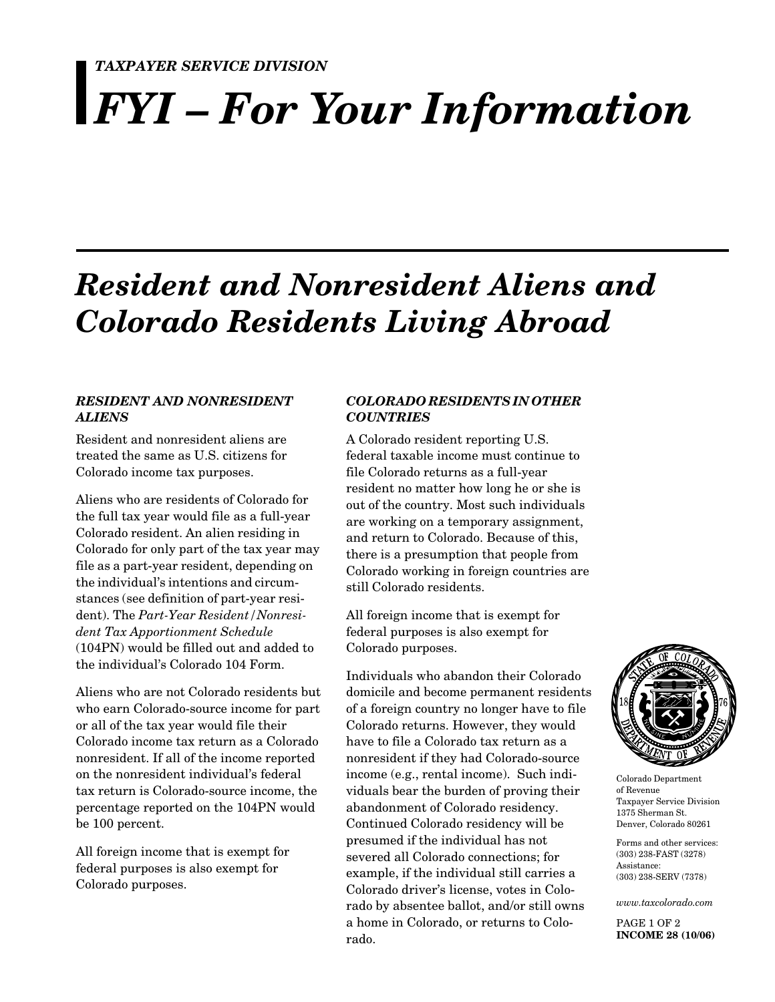### *TAXPAYER SERVICE DIVISION*

# *FYI – For Your Information*

# *Resident and Nonresident Aliens and Colorado Residents Living Abroad*

### *RESIDENT AND NONRESIDENT ALIENS*

Resident and nonresident aliens are treated the same as U.S. citizens for Colorado income tax purposes.

Aliens who are residents of Colorado for the full tax year would file as a full-year Colorado resident. An alien residing in Colorado for only part of the tax year may file as a part-year resident, depending on the individual's intentions and circumstances (see definition of part-year resident). The *Part-Year Resident/Nonresident Tax Apportionment Schedule* (104PN) would be filled out and added to the individual's Colorado 104 Form.

Aliens who are not Colorado residents but who earn Colorado-source income for part or all of the tax year would file their Colorado income tax return as a Colorado nonresident. If all of the income reported on the nonresident individual's federal tax return is Colorado-source income, the percentage reported on the 104PN would be 100 percent.

All foreign income that is exempt for federal purposes is also exempt for Colorado purposes.

### *COLORADO RESIDENTS IN OTHER COUNTRIES*

A Colorado resident reporting U.S. federal taxable income must continue to file Colorado returns as a full-year resident no matter how long he or she is out of the country. Most such individuals are working on a temporary assignment, and return to Colorado. Because of this, there is a presumption that people from Colorado working in foreign countries are still Colorado residents.

All foreign income that is exempt for federal purposes is also exempt for Colorado purposes.

Individuals who abandon their Colorado domicile and become permanent residents of a foreign country no longer have to file Colorado returns. However, they would have to file a Colorado tax return as a nonresident if they had Colorado-source income (e.g., rental income). Such individuals bear the burden of proving their abandonment of Colorado residency. Continued Colorado residency will be presumed if the individual has not severed all Colorado connections; for example, if the individual still carries a Colorado driver's license, votes in Colorado by absentee ballot, and/or still owns a home in Colorado, or returns to Colorado.



Colorado Department of Revenue Taxpayer Service Division 1375 Sherman St. Denver, Colorado 80261

Forms and other services: (303) 238-FAST (3278) Assistance: (303) 238-SERV (7378)

*www.taxcolorado.com*

PAGE 1 OF 2 **INCOME 28 (10/06)**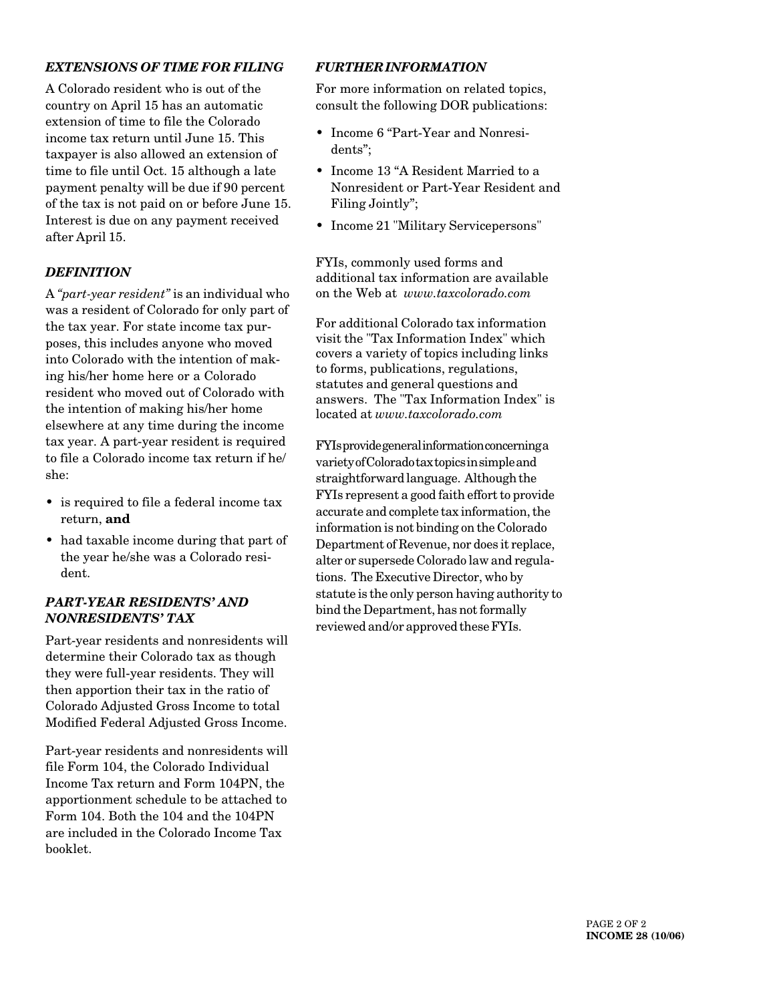### *EXTENSIONS OF TIME FOR FILING*

A Colorado resident who is out of the country on April 15 has an automatic extension of time to file the Colorado income tax return until June 15. This taxpayer is also allowed an extension of time to file until Oct. 15 although a late payment penalty will be due if 90 percent of the tax is not paid on or before June 15. Interest is due on any payment received after April 15.

### *DEFINITION*

A *"part-year resident"* is an individual who was a resident of Colorado for only part of the tax year. For state income tax purposes, this includes anyone who moved into Colorado with the intention of making his/her home here or a Colorado resident who moved out of Colorado with the intention of making his/her home elsewhere at any time during the income tax year. A part-year resident is required to file a Colorado income tax return if he/ she:

- is required to file a federal income tax return, **and**
- had taxable income during that part of the year he/she was a Colorado resident.

### *PART-YEAR RESIDENTS' AND NONRESIDENTS' TAX*

Part-year residents and nonresidents will determine their Colorado tax as though they were full-year residents. They will then apportion their tax in the ratio of Colorado Adjusted Gross Income to total Modified Federal Adjusted Gross Income.

Part-year residents and nonresidents will file Form 104, the Colorado Individual Income Tax return and Form 104PN, the apportionment schedule to be attached to Form 104. Both the 104 and the 104PN are included in the Colorado Income Tax booklet.

### *FURTHER INFORMATION*

For more information on related topics, consult the following DOR publications:

- Income 6 "Part-Year and Nonresidents";
- Income 13 "A Resident Married to a Nonresident or Part-Year Resident and Filing Jointly";
- Income 21 "Military Servicepersons"

FYIs, commonly used forms and additional tax information are available on the Web at *www.taxcolorado.com*

For additional Colorado tax information visit the "Tax Information Index" which covers a variety of topics including links to forms, publications, regulations, statutes and general questions and answers. The "Tax Information Index" is located at *www.taxcolorado.com*

FYIs provide general information concerning a variety of Colorado tax topics in simple and straightforward language. Although the FYIs represent a good faith effort to provide accurate and complete tax information, the information is not binding on the Colorado Department of Revenue, nor does it replace, alter or supersede Colorado law and regulations. The Executive Director, who by statute is the only person having authority to bind the Department, has not formally reviewed and/or approved these FYIs.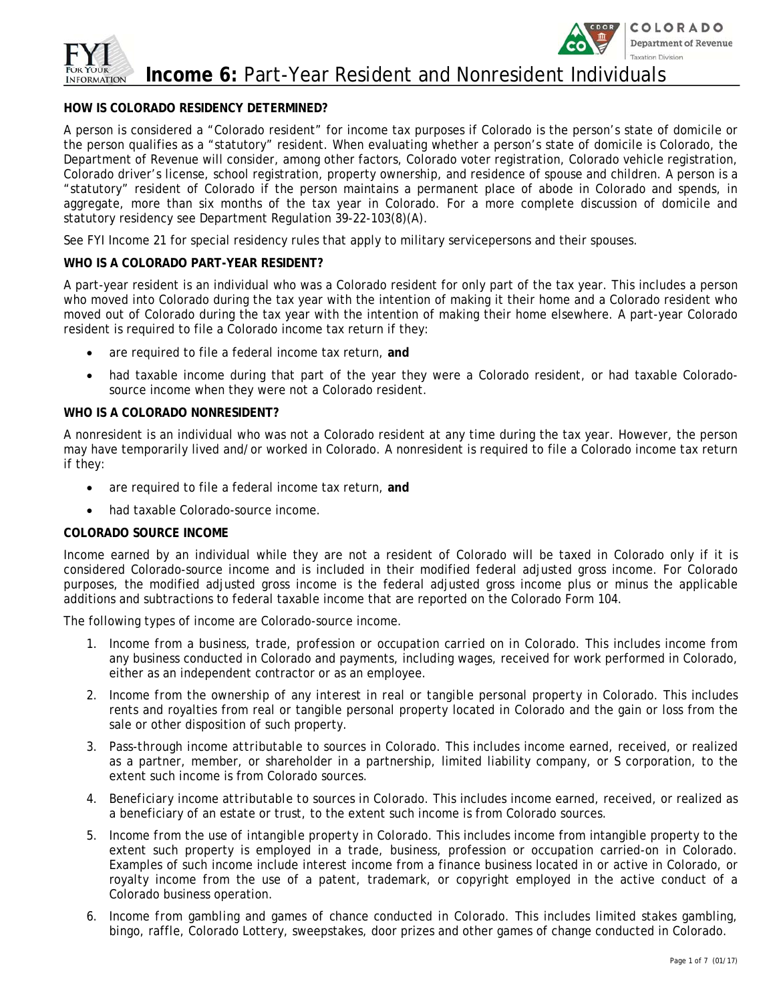

### **Income 6:** Part-Year Resident and Nonresident Individuals

### **HOW IS COLORADO RESIDENCY DETERMINED?**

A person is considered a "Colorado resident" for income tax purposes if Colorado is the person's state of domicile or the person qualifies as a "statutory" resident. When evaluating whether a person's state of domicile is Colorado, the Department of Revenue will consider, among other factors, Colorado voter registration, Colorado vehicle registration, Colorado driver's license, school registration, property ownership, and residence of spouse and children. A person is a "statutory" resident of Colorado if the person maintains a permanent place of abode in Colorado and spends, in aggregate, more than six months of the tax year in Colorado. For a more complete discussion of domicile and statutory residency see Department Regulation 39-22-103(8)(A).

See FYI Income 21 for special residency rules that apply to military servicepersons and their spouses.

### **WHO IS A COLORADO PART-YEAR RESIDENT?**

A part-year resident is an individual who was a Colorado resident for only part of the tax year. This includes a person who moved into Colorado during the tax year with the intention of making it their home and a Colorado resident who moved out of Colorado during the tax year with the intention of making their home elsewhere. A part-year Colorado resident is required to file a Colorado income tax return if they:

- are required to file a federal income tax return, **and**
- had taxable income during that part of the year they were a Colorado resident, or had taxable Coloradosource income when they were not a Colorado resident.

### **WHO IS A COLORADO NONRESIDENT?**

A nonresident is an individual who was not a Colorado resident at any time during the tax year. However, the person may have temporarily lived and/or worked in Colorado. A nonresident is required to file a Colorado income tax return if they:

- are required to file a federal income tax return, **and**
- had taxable Colorado-source income.

### **COLORADO SOURCE INCOME**

Income earned by an individual while they are not a resident of Colorado will be taxed in Colorado only if it is considered Colorado-source income and is included in their modified federal adjusted gross income. For Colorado purposes, the modified adjusted gross income is the federal adjusted gross income plus or minus the applicable additions and subtractions to federal taxable income that are reported on the Colorado Form 104.

The following types of income are Colorado-source income.

- 1. *Income from a business, trade, profession or occupation carried on in Colorado*. This includes income from any business conducted in Colorado and payments, including wages, received for work performed in Colorado, either as an independent contractor or as an employee.
- 2. *Income from the ownership of any interest in real or tangible personal property in Colorado*. This includes rents and royalties from real or tangible personal property located in Colorado and the gain or loss from the sale or other disposition of such property.
- 3. *Pass-through income attributable to sources in Colorado.* This includes income earned, received, or realized as a partner, member, or shareholder in a partnership, limited liability company, or S corporation, to the extent such income is from Colorado sources.
- 4. *Beneficiary income attributable to sources in Colorado.* This includes income earned, received, or realized as a beneficiary of an estate or trust, to the extent such income is from Colorado sources.
- 5. *Income from the use of intangible property in Colorado.* This includes income from intangible property to the extent such property is employed in a trade, business, profession or occupation carried-on in Colorado. Examples of such income include interest income from a finance business located in or active in Colorado, or royalty income from the use of a patent, trademark, or copyright employed in the active conduct of a Colorado business operation.
- 6. *Income from gambling and games of chance conducted in Colorado.* This includes limited stakes gambling, bingo, raffle, Colorado Lottery, sweepstakes, door prizes and other games of change conducted in Colorado.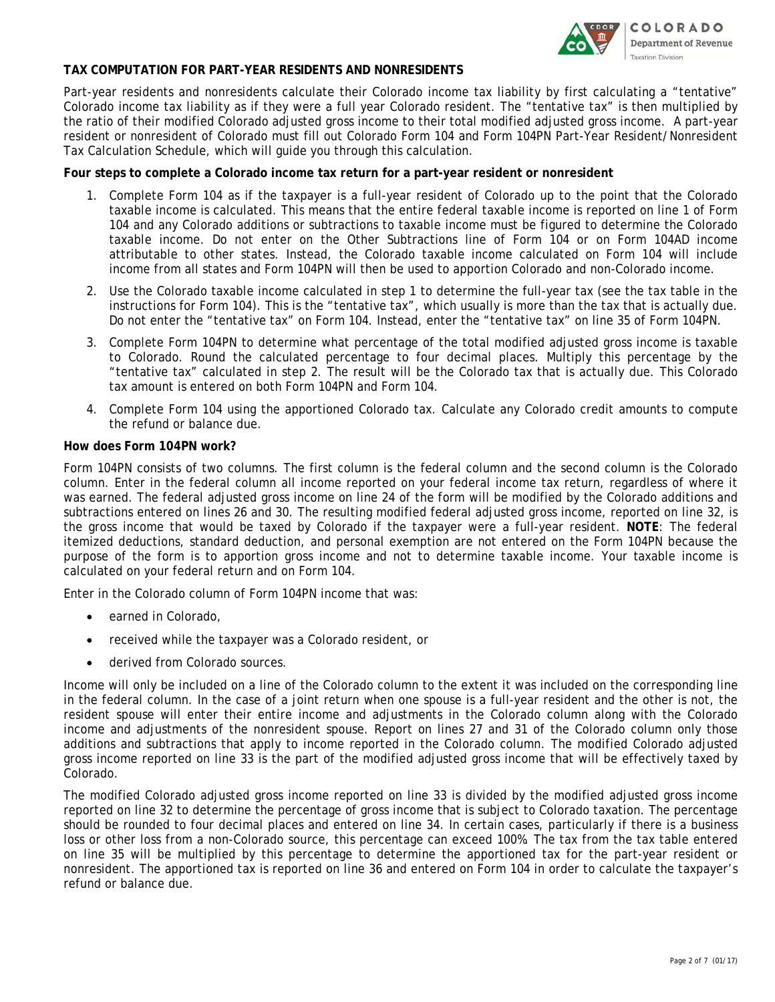

### **TAX COMPUTATION FOR PART-YEAR RESIDENTS AND NONRESIDENTS**

Part-year residents and nonresidents calculate their Colorado income tax liability by first calculating a "tentative" Colorado income tax liability as if they were a full year Colorado resident. The "tentative tax" is then multiplied by the ratio of their modified Colorado adjusted gross income to their total modified adjusted gross income. A part-year resident or nonresident of Colorado must fill out Colorado Form 104 and Form 104PN Part-Year Resident/Nonresident Tax Calculation Schedule, which will guide you through this calculation.

#### **Four steps to complete a Colorado income tax return for a part-year resident or nonresident**

- 1. Complete Form 104 as if the taxpayer is a full-year resident of Colorado up to the point that the Colorado taxable income is calculated. This means that the entire federal taxable income is reported on line 1 of Form 104 and any Colorado additions or subtractions to taxable income must be figured to determine the Colorado taxable income. Do not enter on the Other Subtractions line of Form 104 or on Form 104AD income attributable to other states. Instead, the Colorado taxable income calculated on Form 104 will include income from all states and Form 104PN will then be used to apportion Colorado and non-Colorado income.
- 2. Use the Colorado taxable income calculated in step 1 to determine the full-year tax (see the tax table in the instructions for Form 104). This is the "tentative tax", which usually is more than the tax that is actually due. Do not enter the "tentative tax" on Form 104. Instead, enter the "tentative tax" on line 35 of Form 104PN.
- 3. Complete Form 104PN to determine what percentage of the total modified adjusted gross income is taxable to Colorado. Round the calculated percentage to four decimal places. Multiply this percentage by the "tentative tax" calculated in step 2. The result will be the Colorado tax that is actually due. This Colorado tax amount is entered on both Form 104PN and Form 104.
- 4. Complete Form 104 using the apportioned Colorado tax. Calculate any Colorado credit amounts to compute the refund or balance due.

### **How does Form 104PN work?**

Form 104PN consists of two columns. The first column is the federal column and the second column is the Colorado column. Enter in the federal column all income reported on your federal income tax return, regardless of where it was earned. The federal adjusted gross income on line 24 of the form will be modified by the Colorado additions and subtractions entered on lines 26 and 30. The resulting modified federal adjusted gross income, reported on line 32, is the gross income that would be taxed by Colorado if the taxpayer were a full-year resident. **NOTE**: The federal itemized deductions, standard deduction, and personal exemption are not entered on the Form 104PN because the purpose of the form is to apportion gross income and not to determine taxable income. Your taxable income is calculated on your federal return and on Form 104.

Enter in the Colorado column of Form 104PN income that was:

- earned in Colorado,
- received while the taxpayer was a Colorado resident, or
- derived from Colorado sources.

Income will only be included on a line of the Colorado column to the extent it was included on the corresponding line in the federal column. In the case of a joint return when one spouse is a full-year resident and the other is not, the resident spouse will enter their entire income and adjustments in the Colorado column along with the Colorado income and adjustments of the nonresident spouse. Report on lines 27 and 31 of the Colorado column only those additions and subtractions that apply to income reported in the Colorado column. The modified Colorado adjusted gross income reported on line 33 is the part of the modified adjusted gross income that will be effectively taxed by Colorado.

The modified Colorado adjusted gross income reported on line 33 is divided by the modified adjusted gross income reported on line 32 to determine the percentage of gross income that is subject to Colorado taxation. The percentage should be rounded to four decimal places and entered on line 34. In certain cases, particularly if there is a business loss or other loss from a non-Colorado source, this percentage can exceed 100%. The tax from the tax table entered on line 35 will be multiplied by this percentage to determine the apportioned tax for the part-year resident or nonresident. The apportioned tax is reported on line 36 and entered on Form 104 in order to calculate the taxpayer's refund or balance due.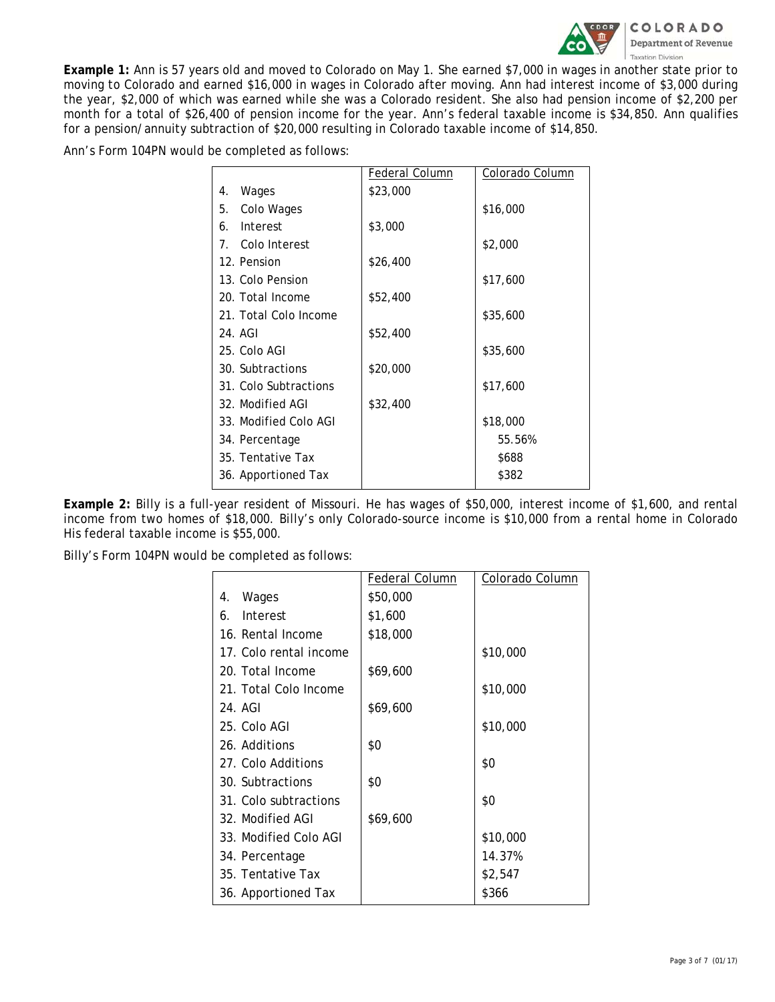

**Example 1:** Ann is 57 years old and moved to Colorado on May 1. She earned \$7,000 in wages in another state prior to moving to Colorado and earned \$16,000 in wages in Colorado after moving. Ann had interest income of \$3,000 during the year, \$2,000 of which was earned while she was a Colorado resident. She also had pension income of \$2,200 per month for a total of \$26,400 of pension income for the year. Ann's federal taxable income is \$34,850. Ann qualifies for a pension/annuity subtraction of \$20,000 resulting in Colorado taxable income of \$14,850.

Ann's Form 104PN would be completed as follows:

|                       |  | Federal Column | Colorado Column |
|-----------------------|--|----------------|-----------------|
| Wages<br>4.           |  | \$23,000       |                 |
| Colo Wages<br>5.      |  |                | \$16,000        |
| Interest<br>6.        |  | \$3,000        |                 |
| 7. Colo Interest      |  |                | \$2,000         |
| 12. Pension           |  | \$26,400       |                 |
| 13. Colo Pension      |  |                | \$17,600        |
| 20. Total Income      |  | \$52,400       |                 |
| 21. Total Colo Income |  |                | \$35,600        |
| 24. AGI               |  | \$52,400       |                 |
| 25. Colo AGI          |  |                | \$35,600        |
| 30. Subtractions      |  | \$20,000       |                 |
| 31. Colo Subtractions |  |                | \$17,600        |
| 32. Modified AGI      |  | \$32,400       |                 |
| 33. Modified Colo AGI |  |                | \$18,000        |
| 34. Percentage        |  |                | 55.56%          |
| 35. Tentative Tax     |  |                | \$688           |
| 36. Apportioned Tax   |  |                | \$382           |
|                       |  |                |                 |

**Example 2:** Billy is a full-year resident of Missouri. He has wages of \$50,000, interest income of \$1,600, and rental income from two homes of \$18,000. Billy's only Colorado-source income is \$10,000 from a rental home in Colorado His federal taxable income is \$55,000.

Billy's Form 104PN would be completed as follows:

|                        | Federal Column | Colorado Column |
|------------------------|----------------|-----------------|
| Wages<br>4.            | \$50,000       |                 |
| Interest<br>6.         | \$1,600        |                 |
| 16. Rental Income      | \$18,000       |                 |
| 17. Colo rental income |                | \$10,000        |
| 20. Total Income       | \$69,600       |                 |
| 21. Total Colo Income  |                | \$10,000        |
| 24. AGI                | \$69,600       |                 |
| 25. Colo AGI           |                | \$10,000        |
| 26. Additions          | \$0            |                 |
| 27. Colo Additions     |                | \$0             |
| 30. Subtractions       | \$0            |                 |
| 31. Colo subtractions  |                | \$0             |
| 32. Modified AGI       | \$69,600       |                 |
| 33. Modified Colo AGI  |                | \$10,000        |
| 34. Percentage         |                | 14.37%          |
| 35. Tentative Tax      |                | \$2,547         |
| 36. Apportioned Tax    |                | \$366           |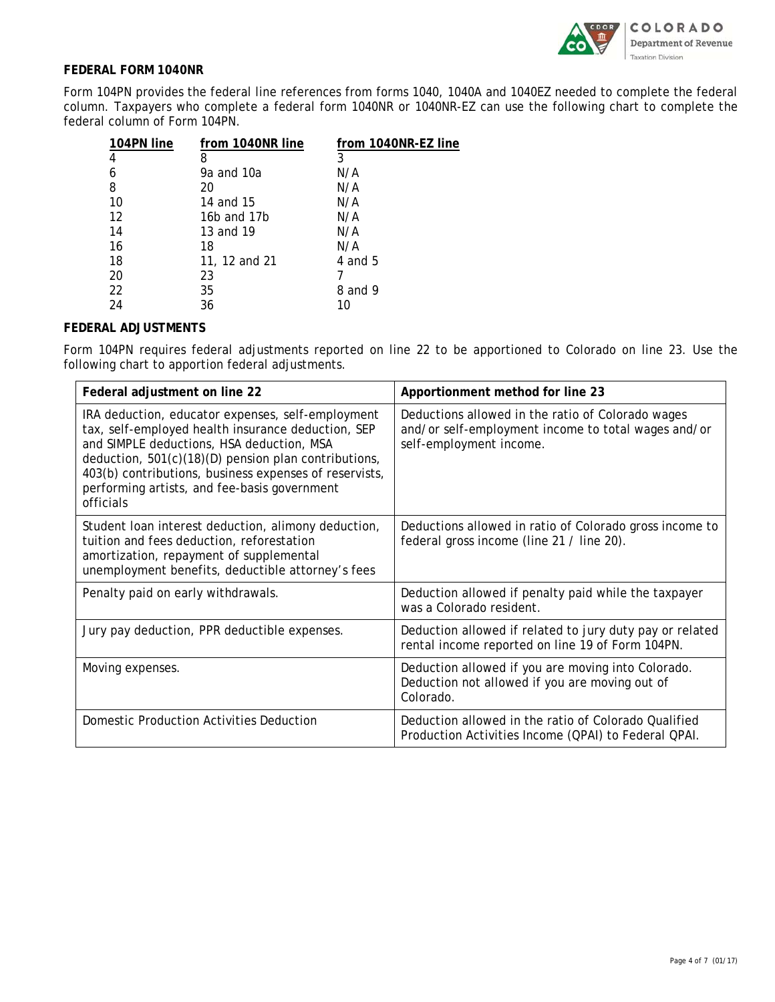

### **FEDERAL FORM 1040NR**

Form 104PN provides the federal line references from forms 1040, 1040A and 1040EZ needed to complete the federal column. Taxpayers who complete a federal form 1040NR or 1040NR-EZ can use the following chart to complete the federal column of Form 104PN.

| 104PN line | from 1040NR line | from 1040NR-EZ line |
|------------|------------------|---------------------|
| 4          | 8                | 3                   |
| 6          | 9a and 10a       | N/A                 |
| 8          | 20               | N/A                 |
| 10         | 14 and 15        | N/A                 |
| 12         | 16b and 17b      | N/A                 |
| 14         | 13 and 19        | N/A                 |
| 16         | 18               | N/A                 |
| 18         | 11, 12 and 21    | 4 and 5             |
| 20         | 23               |                     |
| 22         | 35               | 8 and 9             |
| 24         | 36               | 10                  |

### **FEDERAL ADJUSTMENTS**

Form 104PN requires federal adjustments reported on line 22 to be apportioned to Colorado on line 23. Use the following chart to apportion federal adjustments.

| Federal adjustment on line 22                                                                                                                                                                                                                                                                                                       | Apportionment method for line 23                                                                                                    |  |
|-------------------------------------------------------------------------------------------------------------------------------------------------------------------------------------------------------------------------------------------------------------------------------------------------------------------------------------|-------------------------------------------------------------------------------------------------------------------------------------|--|
| IRA deduction, educator expenses, self-employment<br>tax, self-employed health insurance deduction, SEP<br>and SIMPLE deductions, HSA deduction, MSA<br>deduction, 501(c)(18)(D) pension plan contributions,<br>403(b) contributions, business expenses of reservists,<br>performing artists, and fee-basis government<br>officials | Deductions allowed in the ratio of Colorado wages<br>and/or self-employment income to total wages and/or<br>self-employment income. |  |
| Student loan interest deduction, alimony deduction,<br>tuition and fees deduction, reforestation<br>amortization, repayment of supplemental<br>unemployment benefits, deductible attorney's fees                                                                                                                                    | Deductions allowed in ratio of Colorado gross income to<br>federal gross income (line 21 / line 20).                                |  |
| Penalty paid on early withdrawals.                                                                                                                                                                                                                                                                                                  | Deduction allowed if penalty paid while the taxpayer<br>was a Colorado resident.                                                    |  |
| Jury pay deduction, PPR deductible expenses.                                                                                                                                                                                                                                                                                        | Deduction allowed if related to jury duty pay or related<br>rental income reported on line 19 of Form 104PN.                        |  |
| Moving expenses.                                                                                                                                                                                                                                                                                                                    | Deduction allowed if you are moving into Colorado.<br>Deduction not allowed if you are moving out of<br>Colorado.                   |  |
| Domestic Production Activities Deduction                                                                                                                                                                                                                                                                                            | Deduction allowed in the ratio of Colorado Qualified<br>Production Activities Income (QPAI) to Federal QPAI.                        |  |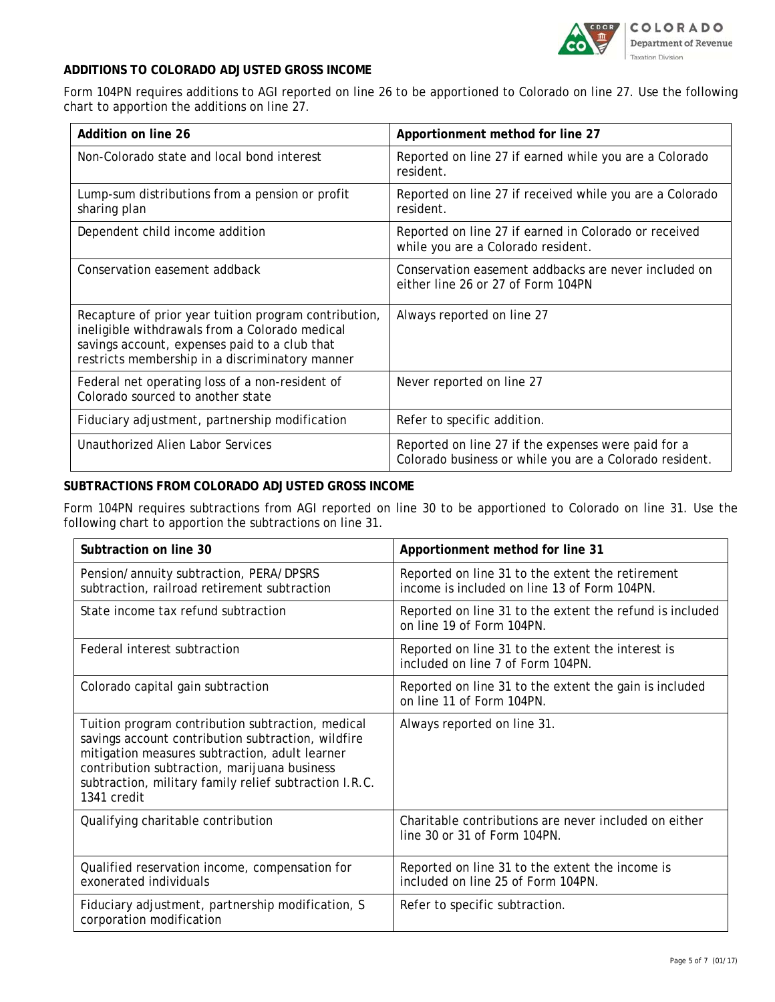

### **ADDITIONS TO COLORADO ADJUSTED GROSS INCOME**

Form 104PN requires additions to AGI reported on line 26 to be apportioned to Colorado on line 27. Use the following chart to apportion the additions on line 27.

| Addition on line 26                                                                                                                                                                                         | Apportionment method for line 27                                                                               |  |
|-------------------------------------------------------------------------------------------------------------------------------------------------------------------------------------------------------------|----------------------------------------------------------------------------------------------------------------|--|
| Non-Colorado state and local bond interest                                                                                                                                                                  | Reported on line 27 if earned while you are a Colorado<br>resident.                                            |  |
| Lump-sum distributions from a pension or profit<br>sharing plan                                                                                                                                             | Reported on line 27 if received while you are a Colorado<br>resident.                                          |  |
| Dependent child income addition                                                                                                                                                                             | Reported on line 27 if earned in Colorado or received<br>while you are a Colorado resident.                    |  |
| Conservation easement addback                                                                                                                                                                               | Conservation easement addbacks are never included on<br>either line 26 or 27 of Form 104PN                     |  |
| Recapture of prior year tuition program contribution,<br>ineligible withdrawals from a Colorado medical<br>savings account, expenses paid to a club that<br>restricts membership in a discriminatory manner | Always reported on line 27                                                                                     |  |
| Federal net operating loss of a non-resident of<br>Colorado sourced to another state                                                                                                                        | Never reported on line 27                                                                                      |  |
| Fiduciary adjustment, partnership modification                                                                                                                                                              | Refer to specific addition.                                                                                    |  |
| Unauthorized Alien Labor Services                                                                                                                                                                           | Reported on line 27 if the expenses were paid for a<br>Colorado business or while you are a Colorado resident. |  |

### **SUBTRACTIONS FROM COLORADO ADJUSTED GROSS INCOME**

Form 104PN requires subtractions from AGI reported on line 30 to be apportioned to Colorado on line 31. Use the following chart to apportion the subtractions on line 31.

| Subtraction on line 30                                                                                                                                                                                                                                                             | Apportionment method for line 31                                                                 |
|------------------------------------------------------------------------------------------------------------------------------------------------------------------------------------------------------------------------------------------------------------------------------------|--------------------------------------------------------------------------------------------------|
| Pension/annuity subtraction, PERA/DPSRS<br>subtraction, railroad retirement subtraction                                                                                                                                                                                            | Reported on line 31 to the extent the retirement<br>income is included on line 13 of Form 104PN. |
| State income tax refund subtraction                                                                                                                                                                                                                                                | Reported on line 31 to the extent the refund is included<br>on line 19 of Form 104PN.            |
| Federal interest subtraction                                                                                                                                                                                                                                                       | Reported on line 31 to the extent the interest is<br>included on line 7 of Form 104PN.           |
| Colorado capital gain subtraction                                                                                                                                                                                                                                                  | Reported on line 31 to the extent the gain is included<br>on line 11 of Form 104PN.              |
| Tuition program contribution subtraction, medical<br>savings account contribution subtraction, wildfire<br>mitigation measures subtraction, adult learner<br>contribution subtraction, marijuana business<br>subtraction, military family relief subtraction I.R.C.<br>1341 credit | Always reported on line 31.                                                                      |
| Qualifying charitable contribution                                                                                                                                                                                                                                                 | Charitable contributions are never included on either<br>line 30 or 31 of Form 104PN.            |
| Qualified reservation income, compensation for<br>exonerated individuals                                                                                                                                                                                                           | Reported on line 31 to the extent the income is<br>included on line 25 of Form 104PN.            |
| Fiduciary adjustment, partnership modification, S<br>corporation modification                                                                                                                                                                                                      | Refer to specific subtraction.                                                                   |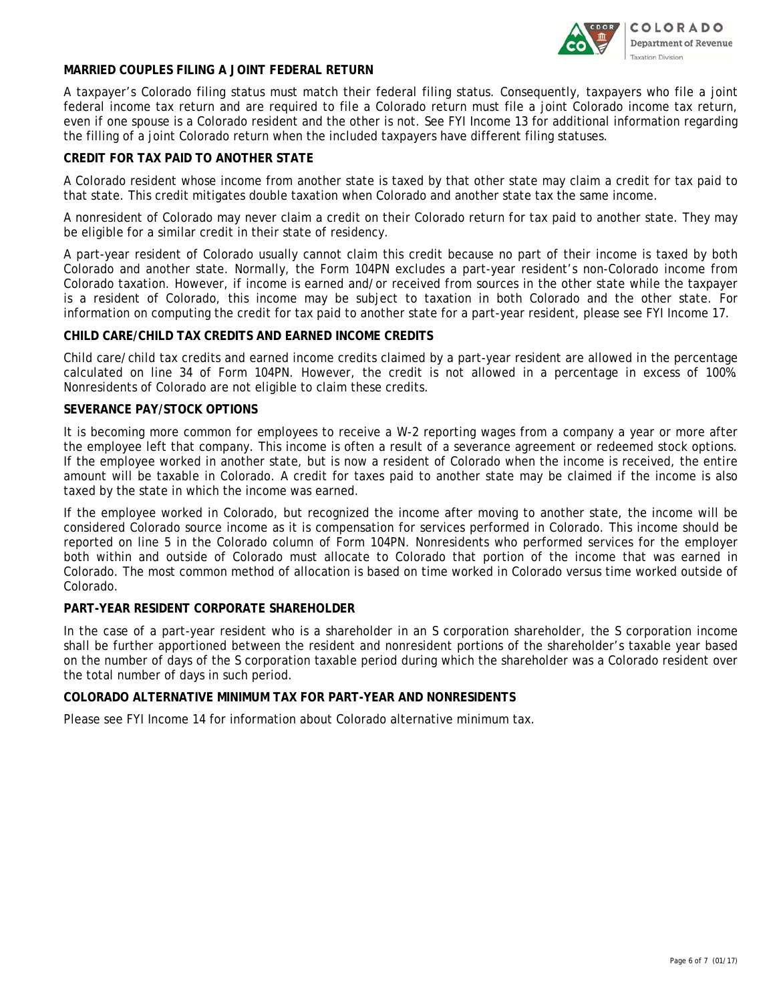

### **MARRIED COUPLES FILING A JOINT FEDERAL RETURN**

A taxpayer's Colorado filing status must match their federal filing status. Consequently, taxpayers who file a joint federal income tax return and are required to file a Colorado return must file a joint Colorado income tax return, even if one spouse is a Colorado resident and the other is not. See FYI Income 13 for additional information regarding the filling of a joint Colorado return when the included taxpayers have different filing statuses.

### **CREDIT FOR TAX PAID TO ANOTHER STATE**

A Colorado resident whose income from another state is taxed by that other state may claim a credit for tax paid to that state. This credit mitigates double taxation when Colorado and another state tax the same income.

A nonresident of Colorado may never claim a credit on their Colorado return for tax paid to another state. They may be eligible for a similar credit in their state of residency.

A part-year resident of Colorado usually cannot claim this credit because no part of their income is taxed by both Colorado and another state. Normally, the Form 104PN excludes a part-year resident's non-Colorado income from Colorado taxation. However, if income is earned and/or received from sources in the other state while the taxpayer is a resident of Colorado, this income may be subject to taxation in both Colorado and the other state. For information on computing the credit for tax paid to another state for a part-year resident, please see FYI Income 17.

### **CHILD CARE/CHILD TAX CREDITS AND EARNED INCOME CREDITS**

Child care/child tax credits and earned income credits claimed by a part-year resident are allowed in the percentage calculated on line 34 of Form 104PN. However, the credit is not allowed in a percentage in excess of 100%. Nonresidents of Colorado are not eligible to claim these credits.

### **SEVERANCE PAY/STOCK OPTIONS**

It is becoming more common for employees to receive a W-2 reporting wages from a company a year or more after the employee left that company. This income is often a result of a severance agreement or redeemed stock options. If the employee worked in another state, but is now a resident of Colorado when the income is received, the entire amount will be taxable in Colorado. A credit for taxes paid to another state may be claimed if the income is also taxed by the state in which the income was earned.

If the employee worked in Colorado, but recognized the income after moving to another state, the income will be considered Colorado source income as it is compensation for services performed in Colorado. This income should be reported on line 5 in the Colorado column of Form 104PN. Nonresidents who performed services for the employer both within and outside of Colorado must allocate to Colorado that portion of the income that was earned in Colorado. The most common method of allocation is based on time worked in Colorado versus time worked outside of Colorado.

### **PART-YEAR RESIDENT CORPORATE SHAREHOLDER**

In the case of a part-year resident who is a shareholder in an S corporation shareholder, the S corporation income shall be further apportioned between the resident and nonresident portions of the shareholder's taxable year based on the number of days of the S corporation taxable period during which the shareholder was a Colorado resident over the total number of days in such period.

### **COLORADO ALTERNATIVE MINIMUM TAX FOR PART-YEAR AND NONRESIDENTS**

Please see FYI Income 14 for information about Colorado alternative minimum tax.